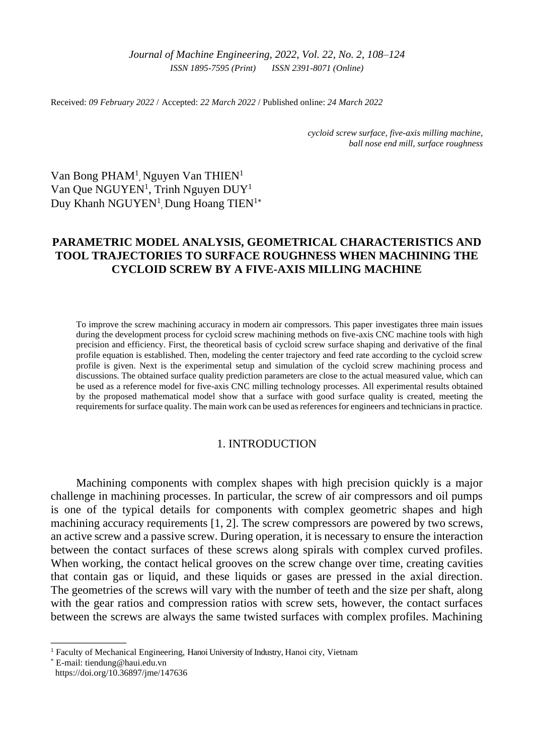*Journal of Machine Engineering, 2022*, *Vol. 22, No. 2, 108–124 ISSN 1895-7595 (Print) ISSN 2391-8071 (Online)*

Received: *09 February 2022* / Accepted: *22 March 2022* / Published online: *24 March 2022*

*cycloid screw surface, five-axis milling machine, ball nose end mill, surface roughness*

Van Bong PHAM<sup>1</sup>, Nguyen Van THIEN<sup>1</sup> Van Que NGUYEN<sup>1</sup>, Trinh Nguyen DUY<sup>1</sup> Duy Khanh NGUYEN<sup>1</sup>, Dung Hoang TIEN<sup>1\*</sup>

# **PARAMETRIC MODEL ANALYSIS, GEOMETRICAL CHARACTERISTICS AND TOOL TRAJECTORIES TO SURFACE ROUGHNESS WHEN MACHINING THE CYCLOID SCREW BY A FIVE-AXIS MILLING MACHINE**

To improve the screw machining accuracy in modern air compressors. This paper investigates three main issues during the development process for cycloid screw machining methods on five-axis CNC machine tools with high precision and efficiency. First, the theoretical basis of cycloid screw surface shaping and derivative of the final profile equation is established. Then, modeling the center trajectory and feed rate according to the cycloid screw profile is given. Next is the experimental setup and simulation of the cycloid screw machining process and discussions. The obtained surface quality prediction parameters are close to the actual measured value, which can be used as a reference model for five-axis CNC milling technology processes. All experimental results obtained by the proposed mathematical model show that a surface with good surface quality is created, meeting the requirements for surface quality. The main work can be used as references for engineers and technicians in practice.

## 1. INTRODUCTION

Machining components with complex shapes with high precision quickly is a major challenge in machining processes. In particular, the screw of air compressors and oil pumps is one of the typical details for components with complex geometric shapes and high machining accuracy requirements [1, 2]. The screw compressors are powered by two screws, an active screw and a passive screw. During operation, it is necessary to ensure the interaction between the contact surfaces of these screws along spirals with complex curved profiles. When working, the contact helical grooves on the screw change over time, creating cavities that contain gas or liquid, and these liquids or gases are pressed in the axial direction. The geometries of the screws will vary with the number of teeth and the size per shaft, along with the gear ratios and compression ratios with screw sets, however, the contact surfaces between the screws are always the same twisted surfaces with complex profiles. Machining

\_\_\_\_\_\_\_\_\_\_\_\_\_

<sup>&</sup>lt;sup>1</sup> Faculty of Mechanical Engineering, Hanoi University of Industry, Hanoi city, Vietnam

<sup>\*</sup> E-mail: [tiendung@haui.edu.vn](mailto:tiendung@haui.edu.vn)

[https://doi.org/1](https://doi.org/)0.36897/jme/147636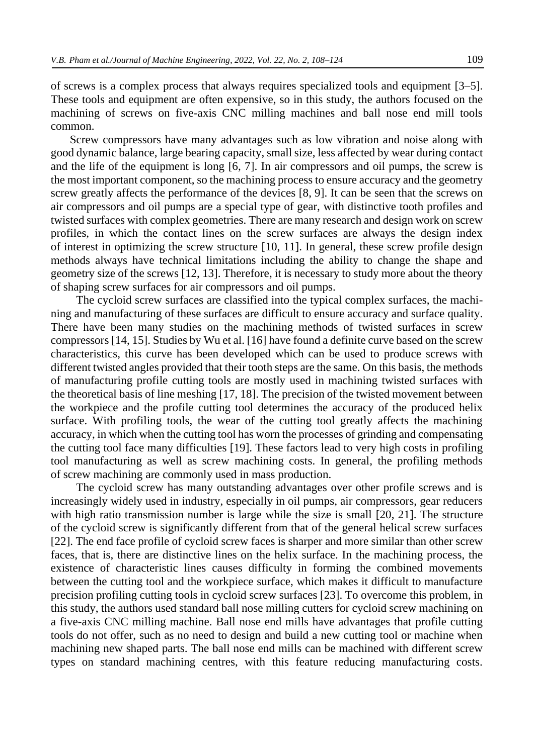of screws is a complex process that always requires specialized tools and equipment [3–5]. These tools and equipment are often expensive, so in this study, the authors focused on the machining of screws on five-axis CNC milling machines and ball nose end mill tools common.

Screw compressors have many advantages such as low vibration and noise along with good dynamic balance, large bearing capacity, small size, less affected by wear during contact and the life of the equipment is long [6, 7]. In air compressors and oil pumps, the screw is the most important component, so the machining process to ensure accuracy and the geometry screw greatly affects the performance of the devices [8, 9]. It can be seen that the screws on air compressors and oil pumps are a special type of gear, with distinctive tooth profiles and twisted surfaces with complex geometries. There are many research and design work on screw profiles, in which the contact lines on the screw surfaces are always the design index of interest in optimizing the screw structure [10, 11]. In general, these screw profile design methods always have technical limitations including the ability to change the shape and geometry size of the screws [12, 13]. Therefore, it is necessary to study more about the theory of shaping screw surfaces for air compressors and oil pumps.

The cycloid screw surfaces are classified into the typical complex surfaces, the machining and manufacturing of these surfaces are difficult to ensure accuracy and surface quality. There have been many studies on the machining methods of twisted surfaces in screw compressors [14, 15]. Studies by Wu et al. [16] have found a definite curve based on the screw characteristics, this curve has been developed which can be used to produce screws with different twisted angles provided that their tooth steps are the same. On this basis, the methods of manufacturing profile cutting tools are mostly used in machining twisted surfaces with the theoretical basis of line meshing [17, 18]. The precision of the twisted movement between the workpiece and the profile cutting tool determines the accuracy of the produced helix surface. With profiling tools, the wear of the cutting tool greatly affects the machining accuracy, in which when the cutting tool has worn the processes of grinding and compensating the cutting tool face many difficulties [19]. These factors lead to very high costs in profiling tool manufacturing as well as screw machining costs. In general, the profiling methods of screw machining are commonly used in mass production.

The cycloid screw has many outstanding advantages over other profile screws and is increasingly widely used in industry, especially in oil pumps, air compressors, gear reducers with high ratio transmission number is large while the size is small [20, 21]. The structure of the cycloid screw is significantly different from that of the general helical screw surfaces [22]. The end face profile of cycloid screw faces is sharper and more similar than other screw faces, that is, there are distinctive lines on the helix surface. In the machining process, the existence of characteristic lines causes difficulty in forming the combined movements between the cutting tool and the workpiece surface, which makes it difficult to manufacture precision profiling cutting tools in cycloid screw surfaces [23]. To overcome this problem, in this study, the authors used standard ball nose milling cutters for cycloid screw machining on a five-axis CNC milling machine. Ball nose end mills have advantages that profile cutting tools do not offer, such as no need to design and build a new cutting tool or machine when machining new shaped parts. The ball nose end mills can be machined with different screw types on standard machining centres, with this feature reducing manufacturing costs.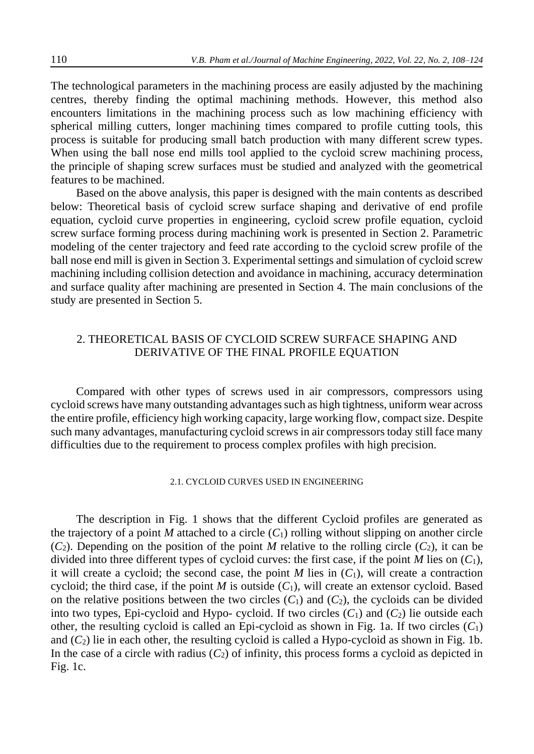The technological parameters in the machining process are easily adjusted by the machining centres, thereby finding the optimal machining methods. However, this method also encounters limitations in the machining process such as low machining efficiency with spherical milling cutters, longer machining times compared to profile cutting tools, this process is suitable for producing small batch production with many different screw types. When using the ball nose end mills tool applied to the cycloid screw machining process, the principle of shaping screw surfaces must be studied and analyzed with the geometrical features to be machined.

Based on the above analysis, this paper is designed with the main contents as described below: Theoretical basis of cycloid screw surface shaping and derivative of end profile equation, cycloid curve properties in engineering, cycloid screw profile equation, cycloid screw surface forming process during machining work is presented in Section 2. Parametric modeling of the center trajectory and feed rate according to the cycloid screw profile of the ball nose end mill is given in Section 3. Experimental settings and simulation of cycloid screw machining including collision detection and avoidance in machining, accuracy determination and surface quality after machining are presented in Section 4. The main conclusions of the study are presented in Section 5.

# 2. THEORETICAL BASIS OF CYCLOID SCREW SURFACE SHAPING AND DERIVATIVE OF THE FINAL PROFILE EQUATION

Compared with other types of screws used in air compressors, compressors using cycloid screws have many outstanding advantages such as high tightness, uniform wear across the entire profile, efficiency high working capacity, large working flow, compact size. Despite such many advantages, manufacturing cycloid screws in air compressors today still face many difficulties due to the requirement to process complex profiles with high precision.

### 2.1. CYCLOID CURVES USED IN ENGINEERING

The description in Fig. 1 shows that the different Cycloid profiles are generated as the trajectory of a point *M* attached to a circle  $(C_1)$  rolling without slipping on another circle  $(C_2)$ . Depending on the position of the point *M* relative to the rolling circle  $(C_2)$ , it can be divided into three different types of cycloid curves: the first case, if the point *M* lies on (*C*1), it will create a cycloid; the second case, the point *M* lies in  $(C_1)$ , will create a contraction cycloid; the third case, if the point *M* is outside (*C*1), will create an extensor cycloid. Based on the relative positions between the two circles  $(C_1)$  and  $(C_2)$ , the cycloids can be divided into two types, Epi-cycloid and Hypo- cycloid. If two circles  $(C_1)$  and  $(C_2)$  lie outside each other, the resulting cycloid is called an Epi-cycloid as shown in Fig. 1a. If two circles  $(C_1)$ and (*C*2) lie in each other, the resulting cycloid is called a Hypo-cycloid as shown in Fig. 1b. In the case of a circle with radius  $(C_2)$  of infinity, this process forms a cycloid as depicted in Fig. 1c.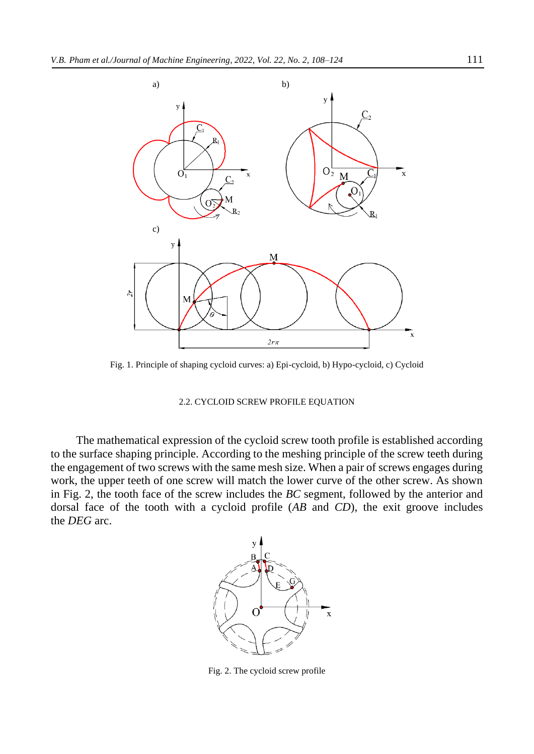

Fig. 1. Principle of shaping cycloid curves: a) Epi-cycloid, b) Hypo-cycloid, c) Cycloid

### 2.2. CYCLOID SCREW PROFILE EQUATION

The mathematical expression of the cycloid screw tooth profile is established according to the surface shaping principle. According to the meshing principle of the screw teeth during the engagement of two screws with the same mesh size. When a pair of screws engages during work, the upper teeth of one screw will match the lower curve of the other screw. As shown in Fig. 2, the tooth face of the screw includes the *BC* segment, followed by the anterior and dorsal face of the tooth with a cycloid profile (*AB* and *CD*), the exit groove includes the *DEG* arc.



Fig. 2. The cycloid screw profile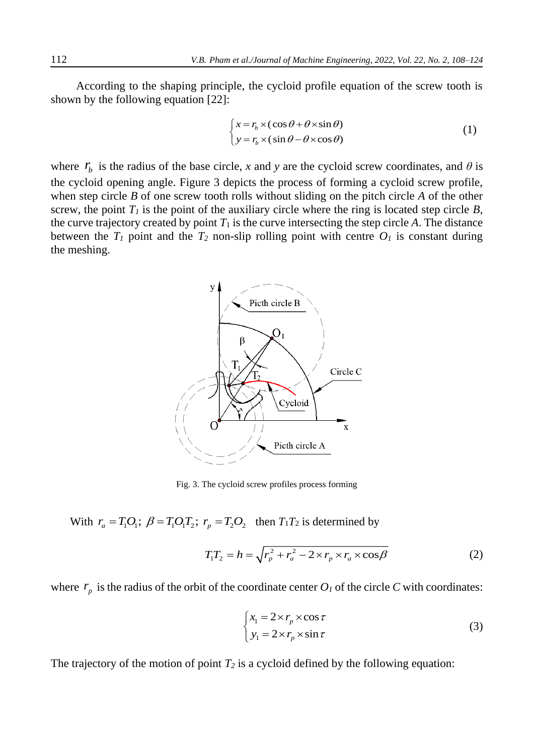According to the shaping principle, the cycloid profile equation of the screw tooth is shown by the following equation [22]:

$$
\begin{cases} x = r_b \times (\cos \theta + \theta \times \sin \theta) \\ y = r_b \times (\sin \theta - \theta \times \cos \theta) \end{cases}
$$
 (1)

where  $r_b$  is the radius of the base circle, *x* and *y* are the cycloid screw coordinates, and  $\theta$  is the cycloid opening angle. Figure 3 depicts the process of forming a cycloid screw profile, when step circle *B* of one screw tooth rolls without sliding on the pitch circle *A* of the other screw, the point  $T_I$  is the point of the auxiliary circle where the ring is located step circle  $B$ , the curve trajectory created by point  $T_1$  is the curve intersecting the step circle  $A$ . The distance between the  $T_I$  point and the  $T_2$  non-slip rolling point with centre  $O_I$  is constant during the meshing.



Fig. 3. The cycloid screw profiles process forming

With  $r_a = T_1 O_1$ ;  $\beta = T_1 O_1 T_2$ ;  $r_p = T_2 O_2$  then  $T_1 T_2$  is determined by

$$
T_1 T_2 = h = \sqrt{r_p^2 + r_a^2 - 2 \times r_p \times r_a \times \cos \beta}
$$
 (2)

where  $r_p$  is the radius of the orbit of the coordinate center  $O_l$  of the circle C with coordinates:

$$
\begin{cases}\n x_1 = 2 \times r_p \times \cos \tau \\
 y_1 = 2 \times r_p \times \sin \tau\n\end{cases}
$$
\n(3)

The trajectory of the motion of point  $T_2$  is a cycloid defined by the following equation: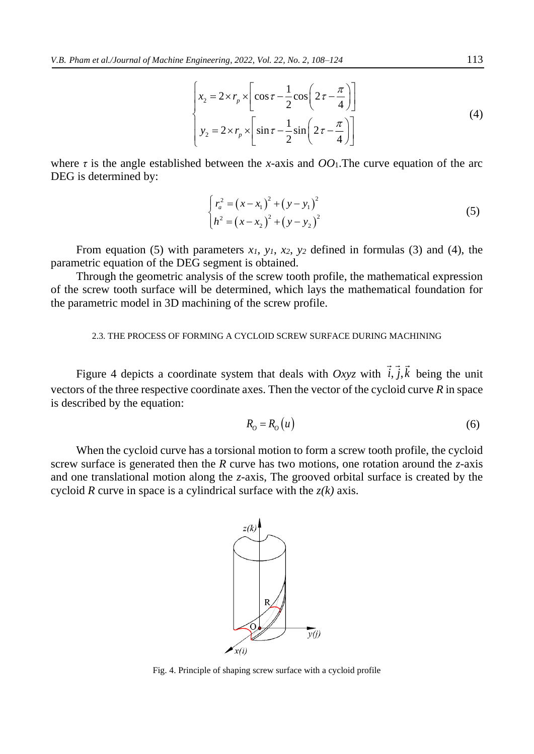$$
\begin{cases}\nx_2 = 2 \times r_p \times \left[ \cos \tau - \frac{1}{2} \cos \left( 2 \tau - \frac{\pi}{4} \right) \right] \\
y_2 = 2 \times r_p \times \left[ \sin \tau - \frac{1}{2} \sin \left( 2 \tau - \frac{\pi}{4} \right) \right]\n\end{cases}
$$
\n(4)

where  $\tau$  is the angle established between the *x*-axis and  $OO_1$ . The curve equation of the arc DEG is determined by:

$$
\begin{cases} r_a^2 = (x - x_1)^2 + (y - y_1)^2 \\ h^2 = (x - x_2)^2 + (y - y_2)^2 \end{cases}
$$
 (5)

From equation (5) with parameters  $x_1$ ,  $y_1$ ,  $x_2$ ,  $y_2$  defined in formulas (3) and (4), the parametric equation of the DEG segment is obtained.

Through the geometric analysis of the screw tooth profile, the mathematical expression of the screw tooth surface will be determined, which lays the mathematical foundation for the parametric model in 3D machining of the screw profile.

### 2.3. THE PROCESS OF FORMING A CYCLOID SCREW SURFACE DURING MACHINING

Figure 4 depicts a coordinate system that deals with *Oxyz* with  $i, j, k$  being the unit vectors of the three respective coordinate axes. Then the vector of the cycloid curve *R* in space is described by the equation:

$$
R_o = R_o(u) \tag{6}
$$

When the cycloid curve has a torsional motion to form a screw tooth profile, the cycloid screw surface is generated then the *R* curve has two motions, one rotation around the *z*-axis and one translational motion along the *z*-axis, The grooved orbital surface is created by the cycloid *R* curve in space is a cylindrical surface with the *z(k)* axis.



Fig. 4. Principle of shaping screw surface with a cycloid profile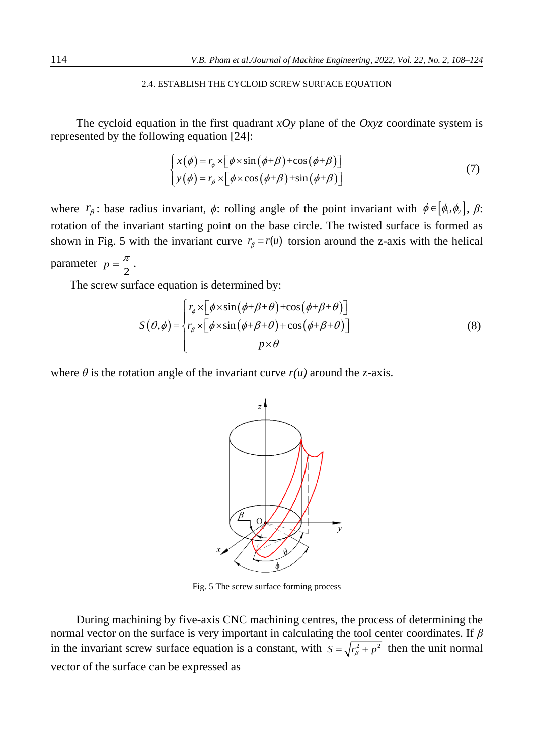## 2.4. ESTABLISH THE CYCLOID SCREW SURFACE EQUATION

The cycloid equation in the first quadrant  $xOy$  plane of the  $Oxyz$  coordinate system is represented by the following equation [24]:

$$
\begin{cases}\n x(\phi) = r_{\phi} \times \left[ \phi \times \sin \left( \phi + \beta \right) + \cos \left( \phi + \beta \right) \right] \\
 y(\phi) = r_{\beta} \times \left[ \phi \times \cos \left( \phi + \beta \right) + \sin \left( \phi + \beta \right) \right]\n\end{cases}
$$
\n(7)

where  $r_{\beta}$ : base radius invariant,  $\phi$ : rolling angle of the point invariant with  $\phi \in [\phi_1, \phi_2]$ ,  $\beta$ : rotation of the invariant starting point on the base circle. The twisted surface is formed as shown in Fig. 5 with the invariant curve  $r_\beta = r(u)$  torsion around the z-axis with the helical parameter 2  $p = \frac{\pi}{2}$ .

The screw surface equation is determined by:

$$
S(\theta,\phi) = \begin{cases} r_{\phi} \times [\phi \times \sin(\phi + \beta + \theta) + \cos(\phi + \beta + \theta)] \\ r_{\beta} \times [\phi \times \sin(\phi + \beta + \theta) + \cos(\phi + \beta + \theta)] \\ p \times \theta \end{cases}
$$
(8)

where  $\theta$  is the rotation angle of the invariant curve  $r(u)$  around the z-axis.



Fig. 5 The screw surface forming process

During machining by five-axis CNC machining centres, the process of determining the normal vector on the surface is very important in calculating the tool center coordinates. If *β* in the invariant screw surface equation is a constant, with  $S = \sqrt{r_{\beta}^2 + p^2}$  then the unit normal vector of the surface can be expressed as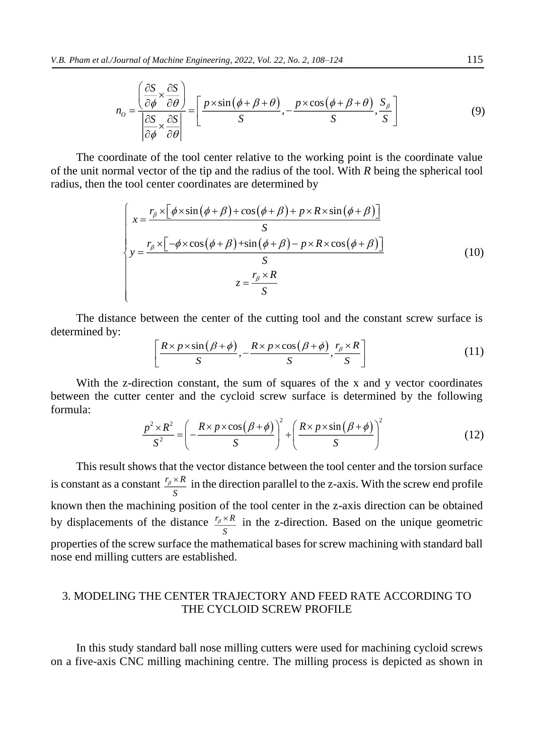$$
n_{o} = \frac{\left(\frac{\partial S}{\partial \phi} \times \frac{\partial S}{\partial \theta}\right)}{\left|\frac{\partial S}{\partial \phi} \times \frac{\partial S}{\partial \theta}\right|} = \left[\frac{p \times \sin\left(\phi + \beta + \theta\right)}{S}, -\frac{p \times \cos\left(\phi + \beta + \theta\right)}{S}, \frac{S_{\beta}}{S}\right]
$$
(9)

The coordinate of the tool center relative to the working point is the coordinate value of the unit normal vector of the tip and the radius of the tool. With *R* being the spherical tool radius, then the tool center coordinates are determined by

$$
\begin{cases}\nx = \frac{r_{\beta} \times \left[\phi \times \sin\left(\phi + \beta\right) + \cos\left(\phi + \beta\right) + p \times R \times \sin\left(\phi + \beta\right)\right]}{S} \\
y = \frac{r_{\beta} \times \left[-\phi \times \cos\left(\phi + \beta\right) + \sin\left(\phi + \beta\right) - p \times R \times \cos\left(\phi + \beta\right)\right]}{S} \\
z = \frac{r_{\beta} \times R}{S}\n\end{cases}\n\tag{10}
$$

The distance between the center of the cutting tool and the constant screw surface is determined by:

$$
\left[\frac{R \times p \times \sin(\beta + \phi)}{S}, -\frac{R \times p \times \cos(\beta + \phi)}{S}, \frac{r_{\beta} \times R}{S}\right]
$$
(11)

With the z-direction constant, the sum of squares of the x and y vector coordinates between the cutter center and the cycloid screw surface is determined by the following formula:

$$
\frac{p^2 \times R^2}{S^2} = \left( -\frac{R \times p \times \cos(\beta + \phi)}{S} \right)^2 + \left( \frac{R \times p \times \sin(\beta + \phi)}{S} \right)^2 \tag{12}
$$

This result shows that the vector distance between the tool center and the torsion surface is constant as a constant  $\frac{r_\beta \times R}{r_\beta}$ *S*  $\frac{\partial^2 K}{\partial x^2}$  in the direction parallel to the z-axis. With the screw end profile known then the machining position of the tool center in the z-axis direction can be obtained by displacements of the distance  $\frac{r_\beta \times R}{r_\beta}$ *S*  $\lambda^2 \times K$  in the z-direction. Based on the unique geometric properties of the screw surface the mathematical bases for screw machining with standard ball nose end milling cutters are established.

# 3. MODELING THE CENTER TRAJECTORY AND FEED RATE ACCORDING TO THE CYCLOID SCREW PROFILE

In this study standard ball nose milling cutters were used for machining cycloid screws on a five-axis CNC milling machining centre. The milling process is depicted as shown in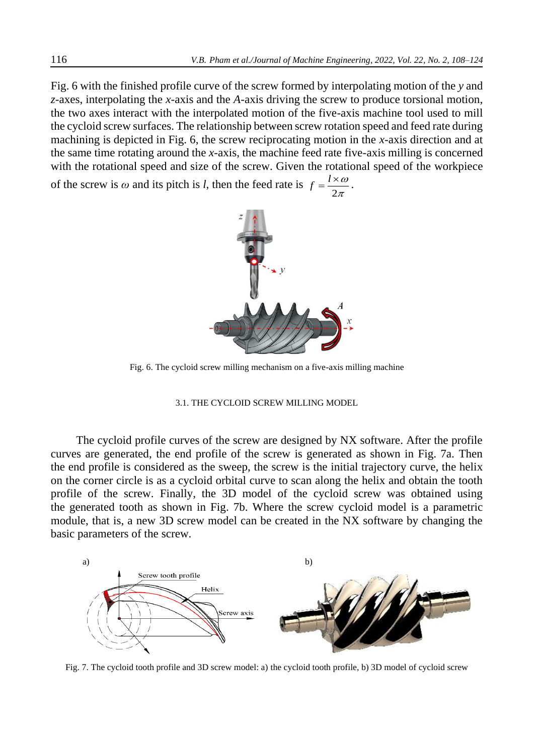Fig. 6 with the finished profile curve of the screw formed by interpolating motion of the *y* and *z*-axes, interpolating the *x*-axis and the *A*-axis driving the screw to produce torsional motion, the two axes interact with the interpolated motion of the five-axis machine tool used to mill the cycloid screw surfaces. The relationship between screw rotation speed and feed rate during machining is depicted in Fig. 6, the screw reciprocating motion in the *x*-axis direction and at the same time rotating around the *x*-axis, the machine feed rate five-axis milling is concerned with the rotational speed and size of the screw. Given the rotational speed of the workpiece

of the screw is  $\omega$  and its pitch is *l*, then the feed rate is  $f = \frac{l^3}{2}$  $f = \frac{l \times \omega}{2}$  $\pi$  $=\frac{l\times\omega}{l}$ .



Fig. 6. The cycloid screw milling mechanism on a five-axis milling machine

### 3.1. THE CYCLOID SCREW MILLING MODEL

The cycloid profile curves of the screw are designed by NX software. After the profile curves are generated, the end profile of the screw is generated as shown in Fig. 7a. Then the end profile is considered as the sweep, the screw is the initial trajectory curve, the helix on the corner circle is as a cycloid orbital curve to scan along the helix and obtain the tooth profile of the screw. Finally, the 3D model of the cycloid screw was obtained using the generated tooth as shown in Fig. 7b. Where the screw cycloid model is a parametric module, that is, a new 3D screw model can be created in the NX software by changing the basic parameters of the screw.



Fig. 7. The cycloid tooth profile and 3D screw model: a) the cycloid tooth profile, b) 3D model of cycloid screw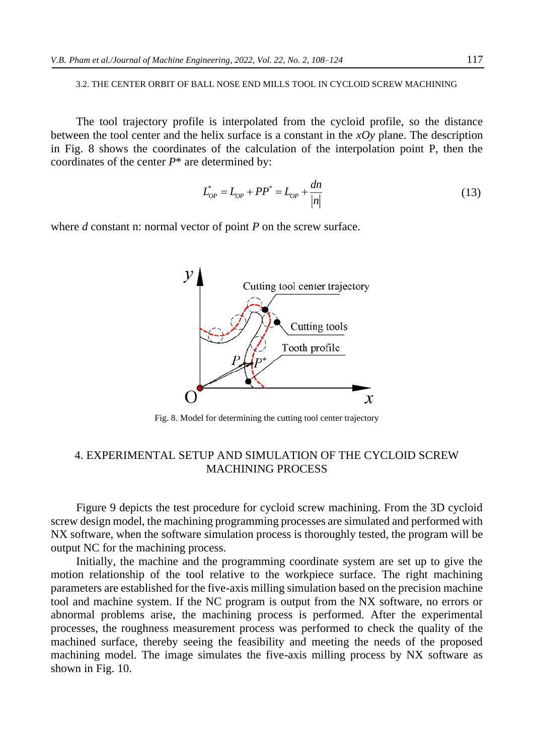## 3.2. THE CENTER ORBIT OF BALL NOSE END MILLS TOOL IN CYCLOID SCREW MACHINING

The tool trajectory profile is interpolated from the cycloid profile, so the distance between the tool center and the helix surface is a constant in the *xOy* plane. The description in Fig. 8 shows the coordinates of the calculation of the interpolation point P, then the coordinates of the center *P*\* are determined by:

$$
L_{OP}^* = L_{OP} + PP^* = L_{OP} + \frac{dn}{|n|}
$$
\n(13)

where *d* constant n: normal vector of point *P* on the screw surface.



Fig. 8. Model for determining the cutting tool center trajectory

# 4. EXPERIMENTAL SETUP AND SIMULATION OF THE CYCLOID SCREW MACHINING PROCESS

Figure 9 depicts the test procedure for cycloid screw machining. From the 3D cycloid screw design model, the machining programming processes are simulated and performed with NX software, when the software simulation process is thoroughly tested, the program will be output NC for the machining process.

Initially, the machine and the programming coordinate system are set up to give the motion relationship of the tool relative to the workpiece surface. The right machining parameters are established for the five-axis milling simulation based on the precision machine tool and machine system. If the NC program is output from the NX software, no errors or abnormal problems arise, the machining process is performed. After the experimental processes, the roughness measurement process was performed to check the quality of the machined surface, thereby seeing the feasibility and meeting the needs of the proposed machining model. The image simulates the five-axis milling process by NX software as shown in Fig. 10.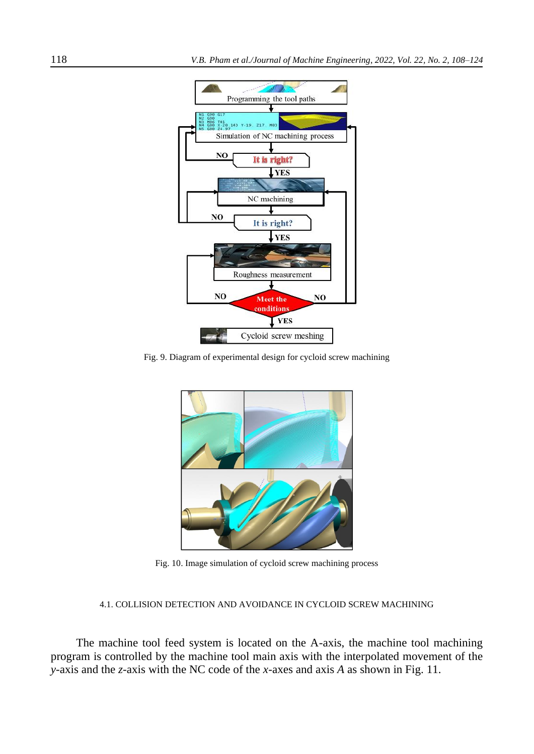

Fig. 9. Diagram of experimental design for cycloid screw machining



Fig. 10. Image simulation of cycloid screw machining process

## 4.1. COLLISION DETECTION AND AVOIDANCE IN CYCLOID SCREW MACHINING

The machine tool feed system is located on the A-axis, the machine tool machining program is controlled by the machine tool main axis with the interpolated movement of the *y*-axis and the *z*-axis with the NC code of the *x*-axes and axis *A* as shown in Fig. 11.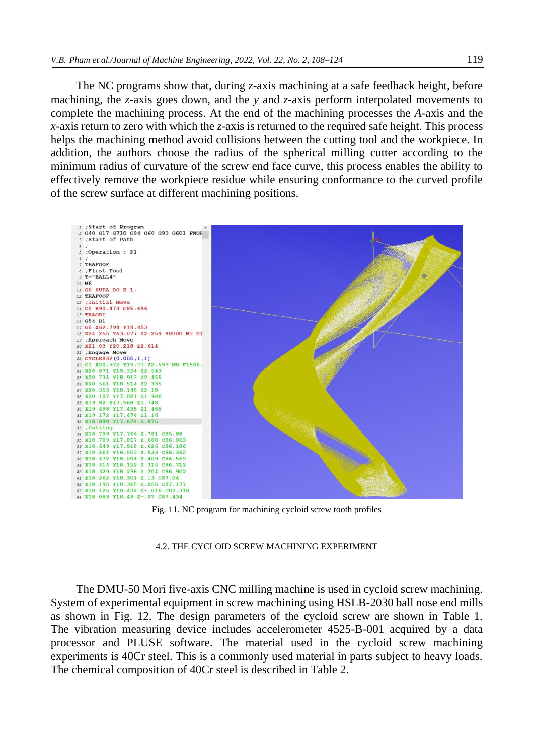The NC programs show that, during *z*-axis machining at a safe feedback height, before machining, the *z*-axis goes down, and the *y* and *z*-axis perform interpolated movements to complete the machining process. At the end of the machining processes the *A*-axis and the *x*-axis return to zero with which the *z*-axis is returned to the required safe height. This process helps the machining method avoid collisions between the cutting tool and the workpiece. In addition, the authors choose the radius of the spherical milling cutter according to the minimum radius of curvature of the screw end face curve, this process enables the ability to effectively remove the workpiece residue while ensuring conformance to the curved profile of the screw surface at different machining positions.



Fig. 11. NC program for machining cycloid screw tooth profiles

#### 4.2. THE CYCLOID SCREW MACHINING EXPERIMENT

The DMU-50 Mori five-axis CNC milling machine is used in cycloid screw machining. System of experimental equipment in screw machining using HSLB-2030 ball nose end mills as shown in Fig. 12. The design parameters of the cycloid screw are shown in Table 1. The vibration measuring device includes accelerometer 4525-B-001 acquired by a data processor and PLUSE software. The material used in the cycloid screw machining experiments is 40Cr steel. This is a commonly used material in parts subject to heavy loads. The chemical composition of 40Cr steel is described in Table 2.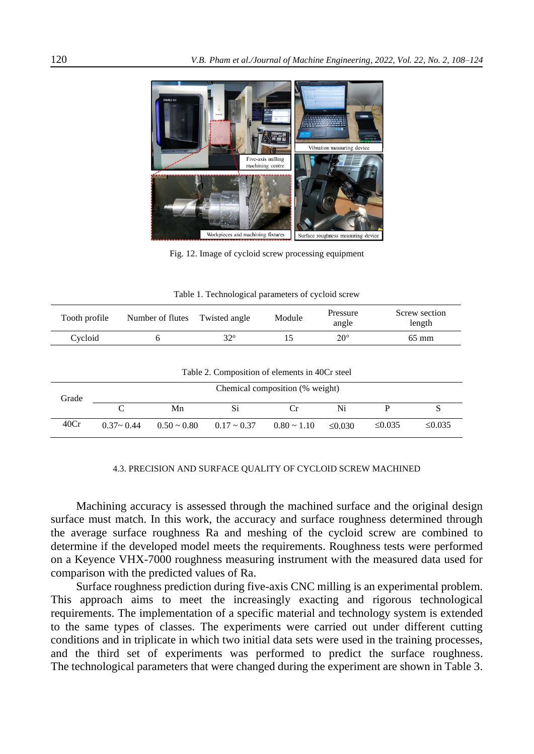

Fig. 12. Image of cycloid screw processing equipment

|  | Table 1. Technological parameters of cycloid screw |  |  |
|--|----------------------------------------------------|--|--|
|--|----------------------------------------------------|--|--|

| Tooth profile | Number of flutes | Twisted angle | Module | Pressure<br>angle | Screw section<br>length |
|---------------|------------------|---------------|--------|-------------------|-------------------------|
| Cycloid       |                  | $32^{\circ}$  |        | 20°               | 65 mm                   |

|  | Table 2. Composition of elements in 40Cr steel |  |  |
|--|------------------------------------------------|--|--|
|--|------------------------------------------------|--|--|

| Grade | Chemical composition (% weight) |                  |                     |                  |              |        |        |
|-------|---------------------------------|------------------|---------------------|------------------|--------------|--------|--------|
|       |                                 | Mn               |                     |                  | Ni           |        |        |
| 40Cr  | $0.37 - 0.44$                   | $0.50 \sim 0.80$ | $0.17 \approx 0.37$ | $0.80 \sim 1.10$ | $\leq 0.030$ | ≤0.035 | ≤0.035 |

#### 4.3. PRECISION AND SURFACE QUALITY OF CYCLOID SCREW MACHINED

Machining accuracy is assessed through the machined surface and the original design surface must match. In this work, the accuracy and surface roughness determined through the average surface roughness Ra and meshing of the cycloid screw are combined to determine if the developed model meets the requirements. Roughness tests were performed on a Keyence VHX-7000 roughness measuring instrument with the measured data used for comparison with the predicted values of Ra.

Surface roughness prediction during five-axis CNC milling is an experimental problem. This approach aims to meet the increasingly exacting and rigorous technological requirements. The implementation of a specific material and technology system is extended to the same types of classes. The experiments were carried out under different cutting conditions and in triplicate in which two initial data sets were used in the training processes, and the third set of experiments was performed to predict the surface roughness. The technological parameters that were changed during the experiment are shown in Table 3.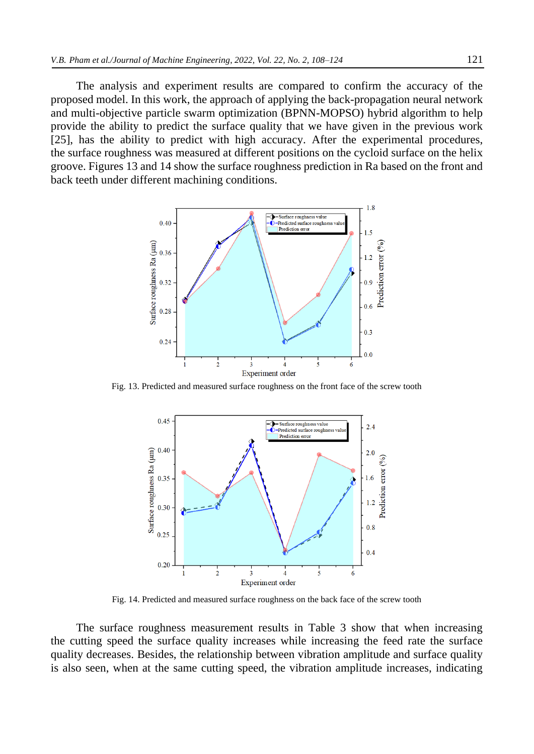The analysis and experiment results are compared to confirm the accuracy of the proposed model. In this work, the approach of applying the back-propagation neural network and multi-objective particle swarm optimization (BPNN-MOPSO) hybrid algorithm to help provide the ability to predict the surface quality that we have given in the previous work [25], has the ability to predict with high accuracy. After the experimental procedures, the surface roughness was measured at different positions on the cycloid surface on the helix groove. Figures 13 and 14 show the surface roughness prediction in Ra based on the front and back teeth under different machining conditions.



Fig. 13. Predicted and measured surface roughness on the front face of the screw tooth



Fig. 14. Predicted and measured surface roughness on the back face of the screw tooth

The surface roughness measurement results in Table 3 show that when increasing the cutting speed the surface quality increases while increasing the feed rate the surface quality decreases. Besides, the relationship between vibration amplitude and surface quality is also seen, when at the same cutting speed, the vibration amplitude increases, indicating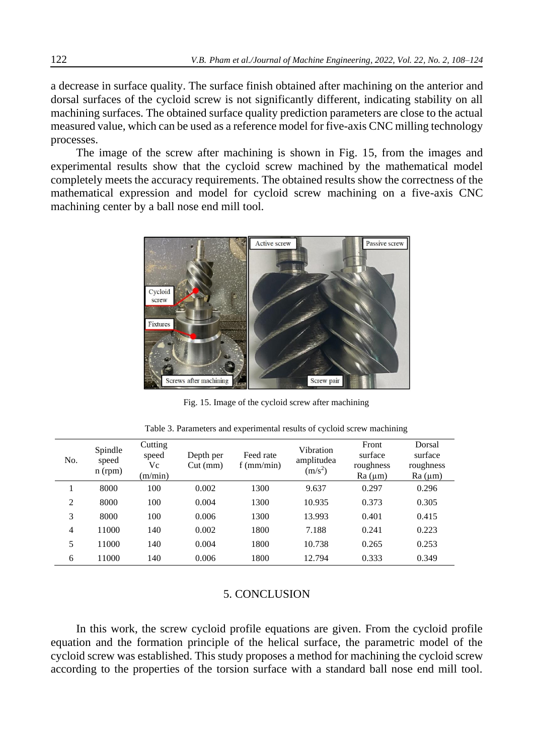a decrease in surface quality. The surface finish obtained after machining on the anterior and dorsal surfaces of the cycloid screw is not significantly different, indicating stability on all machining surfaces. The obtained surface quality prediction parameters are close to the actual measured value, which can be used as a reference model for five-axis CNC milling technology processes.

The image of the screw after machining is shown in Fig. 15, from the images and experimental results show that the cycloid screw machined by the mathematical model completely meets the accuracy requirements. The obtained results show the correctness of the mathematical expression and model for cycloid screw machining on a five-axis CNC machining center by a ball nose end mill tool.



Fig. 15. Image of the cycloid screw after machining

| No.            | Spindle<br>speed<br>n (rpm) | Cutting<br>speed<br>Vc<br>(m/min) | Depth per<br>$Cut$ (mm) | Feed rate<br>$f$ (mm/min) | Vibration<br>amplitudea<br>$(m/s^2)$ | Front<br>surface<br>roughness<br>Ra (µm) | Dorsal<br>surface<br>roughness<br>Ra (µm) |
|----------------|-----------------------------|-----------------------------------|-------------------------|---------------------------|--------------------------------------|------------------------------------------|-------------------------------------------|
|                | 8000                        | 100                               | 0.002                   | 1300                      | 9.637                                | 0.297                                    | 0.296                                     |
| $\overline{2}$ | 8000                        | 100                               | 0.004                   | 1300                      | 10.935                               | 0.373                                    | 0.305                                     |
| 3              | 8000                        | 100                               | 0.006                   | 1300                      | 13.993                               | 0.401                                    | 0.415                                     |
| $\overline{4}$ | 11000                       | 140                               | 0.002                   | 1800                      | 7.188                                | 0.241                                    | 0.223                                     |
| 5              | 11000                       | 140                               | 0.004                   | 1800                      | 10.738                               | 0.265                                    | 0.253                                     |
| 6              | 11000                       | 140                               | 0.006                   | 1800                      | 12.794                               | 0.333                                    | 0.349                                     |

Table 3. Parameters and experimental results of cycloid screw machining

## 5. CONCLUSION

In this work, the screw cycloid profile equations are given. From the cycloid profile equation and the formation principle of the helical surface, the parametric model of the cycloid screw was established. This study proposes a method for machining the cycloid screw according to the properties of the torsion surface with a standard ball nose end mill tool.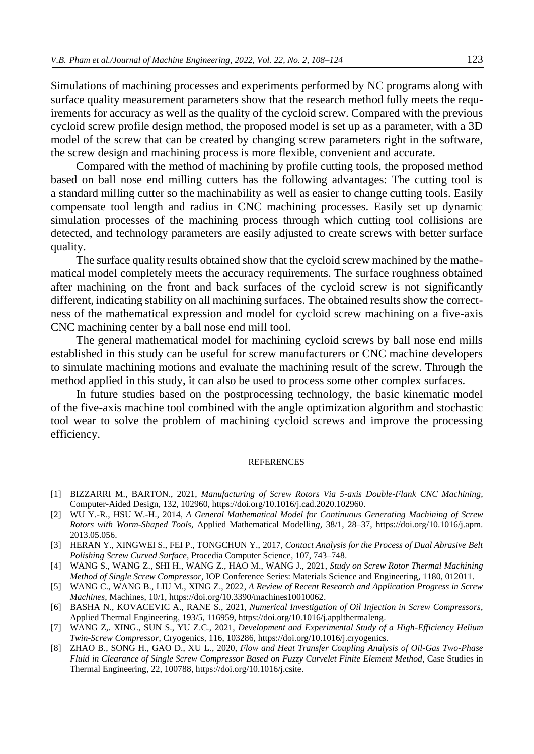Simulations of machining processes and experiments performed by NC programs along with surface quality measurement parameters show that the research method fully meets the requirements for accuracy as well as the quality of the cycloid screw. Compared with the previous cycloid screw profile design method, the proposed model is set up as a parameter, with a 3D model of the screw that can be created by changing screw parameters right in the software, the screw design and machining process is more flexible, convenient and accurate.

Compared with the method of machining by profile cutting tools, the proposed method based on ball nose end milling cutters has the following advantages: The cutting tool is a standard milling cutter so the machinability as well as easier to change cutting tools. Easily compensate tool length and radius in CNC machining processes. Easily set up dynamic simulation processes of the machining process through which cutting tool collisions are detected, and technology parameters are easily adjusted to create screws with better surface quality.

The surface quality results obtained show that the cycloid screw machined by the mathematical model completely meets the accuracy requirements. The surface roughness obtained after machining on the front and back surfaces of the cycloid screw is not significantly different, indicating stability on all machining surfaces. The obtained results show the correctness of the mathematical expression and model for cycloid screw machining on a five-axis CNC machining center by a ball nose end mill tool.

The general mathematical model for machining cycloid screws by ball nose end mills established in this study can be useful for screw manufacturers or CNC machine developers to simulate machining motions and evaluate the machining result of the screw. Through the method applied in this study, it can also be used to process some other complex surfaces.

In future studies based on the postprocessing technology, the basic kinematic model of the five-axis machine tool combined with the angle optimization algorithm and stochastic tool wear to solve the problem of machining cycloid screws and improve the processing efficiency.

#### REFERENCES

- [1] BIZZARRI M., BARTON., 2021, *Manufacturing of Screw Rotors Via 5-axis Double-Flank CNC Machining,*  Computer-Aided Design, 132, 102960, https://doi.org/10.1016/j.cad.2020.102960.
- [2] WU Y.-R., HSU W.-H., 2014, *A General Mathematical Model for Continuous Generating Machining of Screw Rotors with Worm-Shaped Tools*, Applied Mathematical Modellin*g,* 38/1, 28–37, [https://doi.org/10.1016/j.apm.](https://doi.org/10.1016/j.apm.%202013)  [2013.](https://doi.org/10.1016/j.apm.%202013)05.056.
- [3] HERAN Y., XINGWEI S., FEI P., TONGCHUN Y., 2017, *Contact Analysis for the Process of Dual Abrasive Belt Polishing Screw Curved Surface*, Procedia Computer Science*,* 107, 743–748.
- [4] WANG S., WANG Z., SHI H., WANG Z., HAO M., WANG J., 2021, *Study on Screw Rotor Thermal Machining Method of Single Screw Compressor,* IOP Conference Series: Materials Science and Engineering*,* 1180, 012011.
- [5] WANG C., WANG B., LIU M., XING Z., 2022, *A Review of Recent Research and Application Progress in Screw Machines*, Machines, 10/1, https://doi.org/10.3390/machines10010062.
- [6] BASHA N., KOVACEVIC A., RANE S., 2021, *Numerical Investigation of Oil Injection in Screw Compressors*, Applied Thermal Engineering*,* 193/5, 116959[, https://doi.org/10.1016/j.applthermaleng.](https://doi.org/10.1016/j.applthermaleng)
- [7] WANG Z,. XING., SUN S., YU Z.C., 2021, *Development and Experimental Study of a High-Efficiency Helium Twin-Screw Compressor*, Cryogenics*,* 116, 103286, https://doi.org/10.1016/j.cryogenics.
- [8] ZHAO B., SONG H., GAO D., XU L., 2020, *Flow and Heat Transfer Coupling Analysis of Oil-Gas Two-Phase Fluid in Clearance of Single Screw Compressor Based on Fuzzy Curvelet Finite Element Method*, Case Studies in Thermal Engineering*,* 22, 100788, [https://doi.org/10.1016/j.csite.](https://doi.org/10.1016/j.csite)